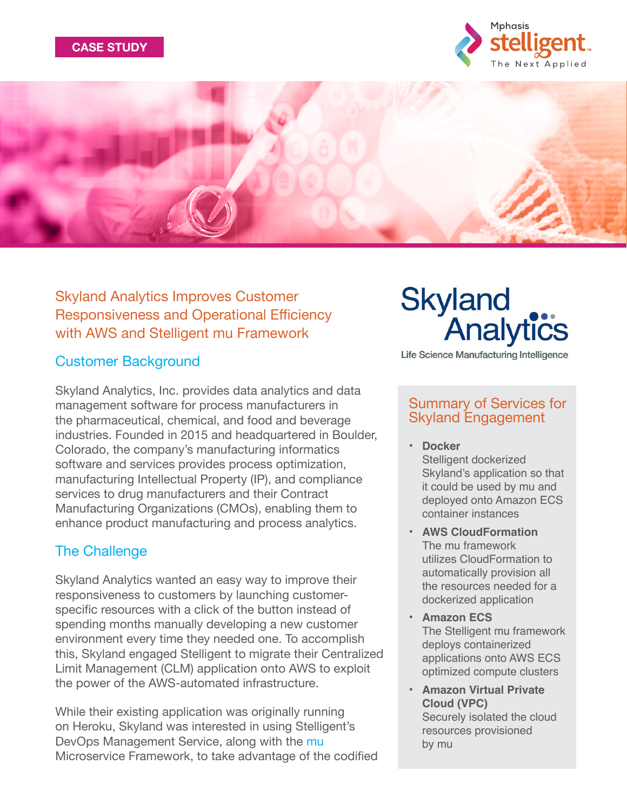





Skyland Analytics Improves Customer Responsiveness and Operational Efficiency with AWS and Stelligent mu Framework

## Customer Background

Skyland Analytics, Inc. provides data analytics and data management software for process manufacturers in the pharmaceutical, chemical, and food and beverage industries. Founded in 2015 and headquartered in Boulder, Colorado, the company's manufacturing informatics software and services provides process optimization, manufacturing Intellectual Property (IP), and compliance services to drug manufacturers and their Contract Manufacturing Organizations (CMOs), enabling them to enhance product manufacturing and process analytics.

## The Challenge

Skyland Analytics wanted an easy way to improve their responsiveness to customers by launching customerspecific resources with a click of the button instead of spending months manually developing a new customer environment every time they needed one. To accomplish this, Skyland engaged Stelligent to migrate their Centralized Limit Management (CLM) application onto AWS to exploit the power of the AWS-automated infrastructure.

While their existing application was originally running on Heroku, Skyland was interested in using Stelligent's DevOps Management Service, along with the [mu](https://github.com/stelligent/mu) Microservice Framework, to take advantage of the codified

# Skyland<br>Analytics

Life Science Manufacturing Intelligence

## Summary of Services for Skyland Engagement

• **Docker**

Stelligent dockerized Skyland's application so that it could be used by mu and deployed onto Amazon ECS container instances

- **AWS CloudFormation** The mu framework utilizes CloudFormation to automatically provision all the resources needed for a dockerized application
- **Amazon ECS** The Stelligent mu framework deploys containerized applications onto AWS ECS optimized compute clusters
- **Amazon Virtual Private Cloud (VPC)** Securely isolated the cloud resources provisioned by mu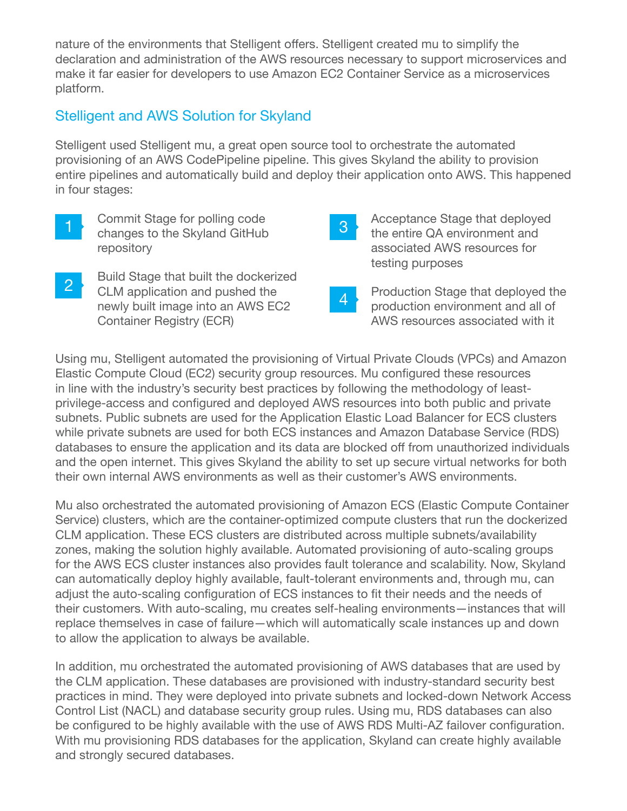nature of the environments that Stelligent offers. Stelligent created mu to simplify the declaration and administration of the AWS resources necessary to support microservices and make it far easier for developers to use Amazon EC2 Container Service as a microservices platform.

# Stelligent and AWS Solution for Skyland

Stelligent used Stelligent mu, a great open source tool to orchestrate the automated provisioning of an AWS CodePipeline pipeline. This gives Skyland the ability to provision entire pipelines and automatically build and deploy their application onto AWS. This happened in four stages:

- Commit Stage for polling code changes to the Skyland GitHub repository 1
- Build Stage that built the dockerized CLM application and pushed the newly built image into an AWS EC2 Container Registry (ECR) 2
- Acceptance Stage that deployed the entire QA environment and associated AWS resources for testing purposes 3
- Production Stage that deployed the production environment and all of AWS resources associated with it 4

Using mu, Stelligent automated the provisioning of Virtual Private Clouds (VPCs) and Amazon Elastic Compute Cloud (EC2) security group resources. Mu configured these resources in line with the industry's security best practices by following the methodology of leastprivilege-access and configured and deployed AWS resources into both public and private subnets. Public subnets are used for the Application Elastic Load Balancer for ECS clusters while private subnets are used for both ECS instances and Amazon Database Service (RDS) databases to ensure the application and its data are blocked off from unauthorized individuals and the open internet. This gives Skyland the ability to set up secure virtual networks for both their own internal AWS environments as well as their customer's AWS environments.

Mu also orchestrated the automated provisioning of Amazon ECS (Elastic Compute Container Service) clusters, which are the container-optimized compute clusters that run the dockerized CLM application. These ECS clusters are distributed across multiple subnets/availability zones, making the solution highly available. Automated provisioning of auto-scaling groups for the AWS ECS cluster instances also provides fault tolerance and scalability. Now, Skyland can automatically deploy highly available, fault-tolerant environments and, through mu, can adjust the auto-scaling configuration of ECS instances to fit their needs and the needs of their customers. With auto-scaling, mu creates self-healing environments—instances that will replace themselves in case of failure—which will automatically scale instances up and down to allow the application to always be available.

In addition, mu orchestrated the automated provisioning of AWS databases that are used by the CLM application. These databases are provisioned with industry-standard security best practices in mind. They were deployed into private subnets and locked-down Network Access Control List (NACL) and database security group rules. Using mu, RDS databases can also be configured to be highly available with the use of AWS RDS Multi-AZ failover configuration. With mu provisioning RDS databases for the application, Skyland can create highly available and strongly secured databases.